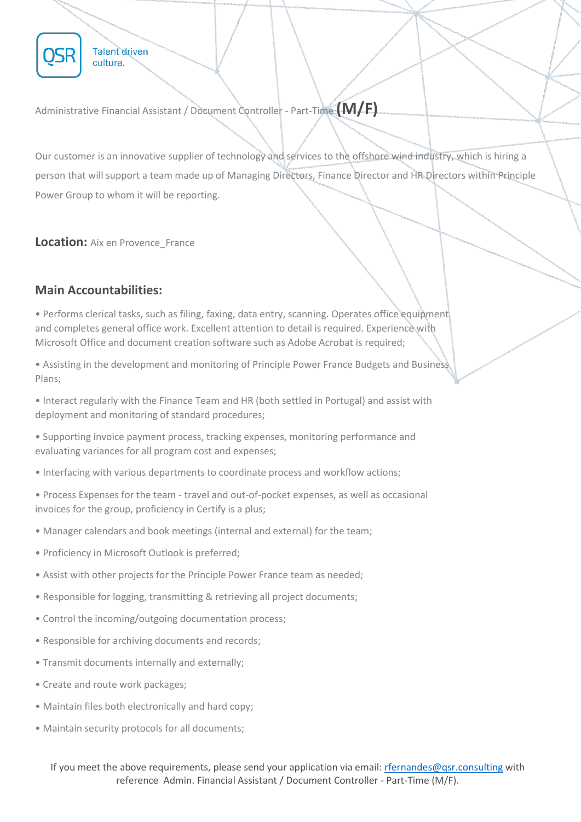

Administrative Financial Assistant / Document Controller - Part-Time **(M/F)**

Our customer is an innovative supplier of technology and services to the offshore wind industry, which is hiring a person that will support a team made up of Managing Directors, Finance Director and HR Directors within Principle Power Group to whom it will be reporting.

**Location:** Aix en Provence\_France

## **Main Accountabilities:**

• Performs clerical tasks, such as filing, faxing, data entry, scanning. Operates office equipment and completes general office work. Excellent attention to detail is required. Experience with Microsoft Office and document creation software such as Adobe Acrobat is required;

• Assisting in the development and monitoring of Principle Power France Budgets and Business Plans;

• Interact regularly with the Finance Team and HR (both settled in Portugal) and assist with deployment and monitoring of standard procedures;

• Supporting invoice payment process, tracking expenses, monitoring performance and evaluating variances for all program cost and expenses;

- Interfacing with various departments to coordinate process and workflow actions;
- Process Expenses for the team travel and out-of-pocket expenses, as well as occasional invoices for the group, proficiency in Certify is a plus;
- Manager calendars and book meetings (internal and external) for the team;
- Proficiency in Microsoft Outlook is preferred;
- Assist with other projects for the Principle Power France team as needed;
- Responsible for logging, transmitting & retrieving all project documents;
- Control the incoming/outgoing documentation process;
- Responsible for archiving documents and records;
- Transmit documents internally and externally;
- Create and route work packages;
- Maintain files both electronically and hard copy;
- Maintain security protocols for all documents;

If you meet the above requirements, please send your application via email: [rfernandes@qsr.consulting](mailto:rfernandes@qsr.consulting) with reference Admin. Financial Assistant / Document Controller - Part-Time (M/F).